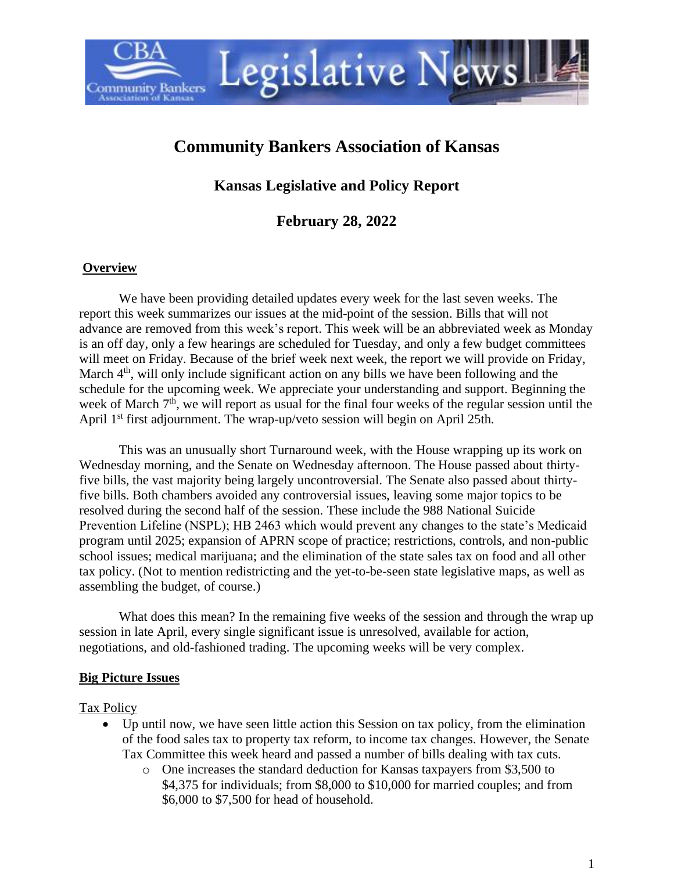

## **Community Bankers Association of Kansas**

**Kansas Legislative and Policy Report**

**February 28, 2022**

### **Overview**

We have been providing detailed updates every week for the last seven weeks. The report this week summarizes our issues at the mid-point of the session. Bills that will not advance are removed from this week's report. This week will be an abbreviated week as Monday is an off day, only a few hearings are scheduled for Tuesday, and only a few budget committees will meet on Friday. Because of the brief week next week, the report we will provide on Friday, March 4<sup>th</sup>, will only include significant action on any bills we have been following and the schedule for the upcoming week. We appreciate your understanding and support. Beginning the week of March  $7<sup>th</sup>$ , we will report as usual for the final four weeks of the regular session until the April 1<sup>st</sup> first adjournment. The wrap-up/veto session will begin on April 25th.

This was an unusually short Turnaround week, with the House wrapping up its work on Wednesday morning, and the Senate on Wednesday afternoon. The House passed about thirtyfive bills, the vast majority being largely uncontroversial. The Senate also passed about thirtyfive bills. Both chambers avoided any controversial issues, leaving some major topics to be resolved during the second half of the session. These include the 988 National Suicide Prevention Lifeline (NSPL); HB 2463 which would prevent any changes to the state's Medicaid program until 2025; expansion of APRN scope of practice; restrictions, controls, and non-public school issues; medical marijuana; and the elimination of the state sales tax on food and all other tax policy. (Not to mention redistricting and the yet-to-be-seen state legislative maps, as well as assembling the budget, of course.)

What does this mean? In the remaining five weeks of the session and through the wrap up session in late April, every single significant issue is unresolved, available for action, negotiations, and old-fashioned trading. The upcoming weeks will be very complex.

## **Big Picture Issues**

Tax Policy

- Up until now, we have seen little action this Session on tax policy, from the elimination of the food sales tax to property tax reform, to income tax changes. However, the Senate Tax Committee this week heard and passed a number of bills dealing with tax cuts.
	- o One increases the standard deduction for Kansas taxpayers from \$3,500 to \$4,375 for individuals; from \$8,000 to \$10,000 for married couples; and from \$6,000 to \$7,500 for head of household.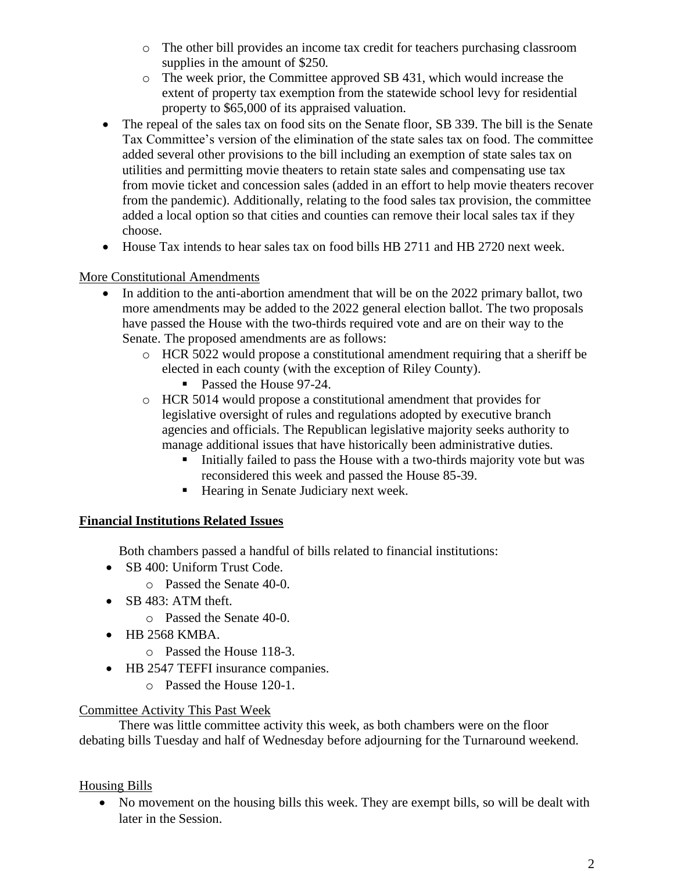- o The other bill provides an income tax credit for teachers purchasing classroom supplies in the amount of \$250.
- o The week prior, the Committee approved SB 431, which would increase the extent of property tax exemption from the statewide school levy for residential property to \$65,000 of its appraised valuation.
- The repeal of the sales tax on food sits on the Senate floor, SB 339. The bill is the Senate Tax Committee's version of the elimination of the state sales tax on food. The committee added several other provisions to the bill including an exemption of state sales tax on utilities and permitting movie theaters to retain state sales and compensating use tax from movie ticket and concession sales (added in an effort to help movie theaters recover from the pandemic). Additionally, relating to the food sales tax provision, the committee added a local option so that cities and counties can remove their local sales tax if they choose.
- House Tax intends to hear sales tax on food bills HB 2711 and HB 2720 next week.

#### More Constitutional Amendments

- In addition to the anti-abortion amendment that will be on the 2022 primary ballot, two more amendments may be added to the 2022 general election ballot. The two proposals have passed the House with the two-thirds required vote and are on their way to the Senate. The proposed amendments are as follows:
	- $\circ$  HCR 5022 would propose a constitutional amendment requiring that a sheriff be elected in each county (with the exception of Riley County).
		- Passed the House 97-24.
	- o HCR 5014 would propose a constitutional amendment that provides for legislative oversight of rules and regulations adopted by executive branch agencies and officials. The Republican legislative majority seeks authority to manage additional issues that have historically been administrative duties.
		- Initially failed to pass the House with a two-thirds majority vote but was reconsidered this week and passed the House 85-39.
		- Hearing in Senate Judiciary next week.

## **Financial Institutions Related Issues**

Both chambers passed a handful of bills related to financial institutions:

- SB 400: Uniform Trust Code.
	- o Passed the Senate 40-0.
- SB 483: ATM theft.
	- o Passed the Senate 40-0.
- HB 2568 KMBA.
	- o Passed the House 118-3.
- HB 2547 TEFFI insurance companies.
	- o Passed the House 120-1.

## Committee Activity This Past Week

There was little committee activity this week, as both chambers were on the floor debating bills Tuesday and half of Wednesday before adjourning for the Turnaround weekend.

## Housing Bills

• No movement on the housing bills this week. They are exempt bills, so will be dealt with later in the Session.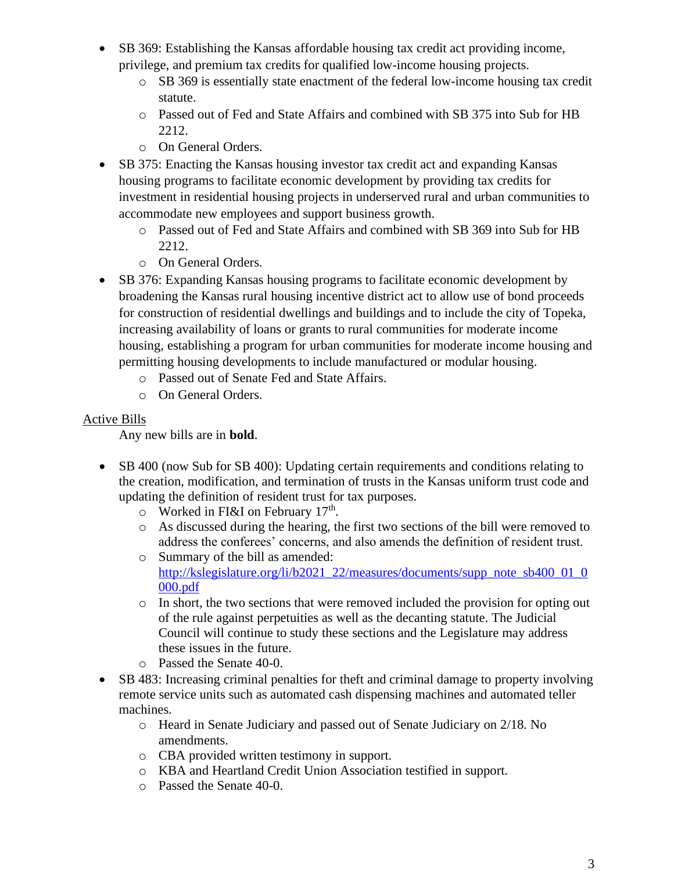- SB 369: Establishing the Kansas affordable housing tax credit act providing income, privilege, and premium tax credits for qualified low-income housing projects.
	- o SB 369 is essentially state enactment of the federal low-income housing tax credit statute.
	- o Passed out of Fed and State Affairs and combined with SB 375 into Sub for HB 2212.
	- o On General Orders.
- SB 375: Enacting the Kansas housing investor tax credit act and expanding Kansas housing programs to facilitate economic development by providing tax credits for investment in residential housing projects in underserved rural and urban communities to accommodate new employees and support business growth.
	- o Passed out of Fed and State Affairs and combined with SB 369 into Sub for HB 2212.
	- o On General Orders.
- SB 376: Expanding Kansas housing programs to facilitate economic development by broadening the Kansas rural housing incentive district act to allow use of bond proceeds for construction of residential dwellings and buildings and to include the city of Topeka, increasing availability of loans or grants to rural communities for moderate income housing, establishing a program for urban communities for moderate income housing and permitting housing developments to include manufactured or modular housing.
	- o Passed out of Senate Fed and State Affairs.
	- o On General Orders.

#### Active Bills

Any new bills are in **bold**.

- SB 400 (now Sub for SB 400): Updating certain requirements and conditions relating to the creation, modification, and termination of trusts in the Kansas uniform trust code and updating the definition of resident trust for tax purposes.
	- $\circ$  Worked in FI&I on February 17<sup>th</sup>.
	- o As discussed during the hearing, the first two sections of the bill were removed to address the conferees' concerns, and also amends the definition of resident trust.
	- o Summary of the bill as amended: [http://kslegislature.org/li/b2021\\_22/measures/documents/supp\\_note\\_sb400\\_01\\_0](http://kslegislature.org/li/b2021_22/measures/documents/supp_note_sb400_01_0000.pdf) [000.pdf](http://kslegislature.org/li/b2021_22/measures/documents/supp_note_sb400_01_0000.pdf)
	- o In short, the two sections that were removed included the provision for opting out of the rule against perpetuities as well as the decanting statute. The Judicial Council will continue to study these sections and the Legislature may address these issues in the future.
	- o Passed the Senate 40-0.
- SB 483: Increasing criminal penalties for theft and criminal damage to property involving remote service units such as automated cash dispensing machines and automated teller machines.
	- o Heard in Senate Judiciary and passed out of Senate Judiciary on 2/18. No amendments.
	- o CBA provided written testimony in support.
	- o KBA and Heartland Credit Union Association testified in support.
	- o Passed the Senate 40-0.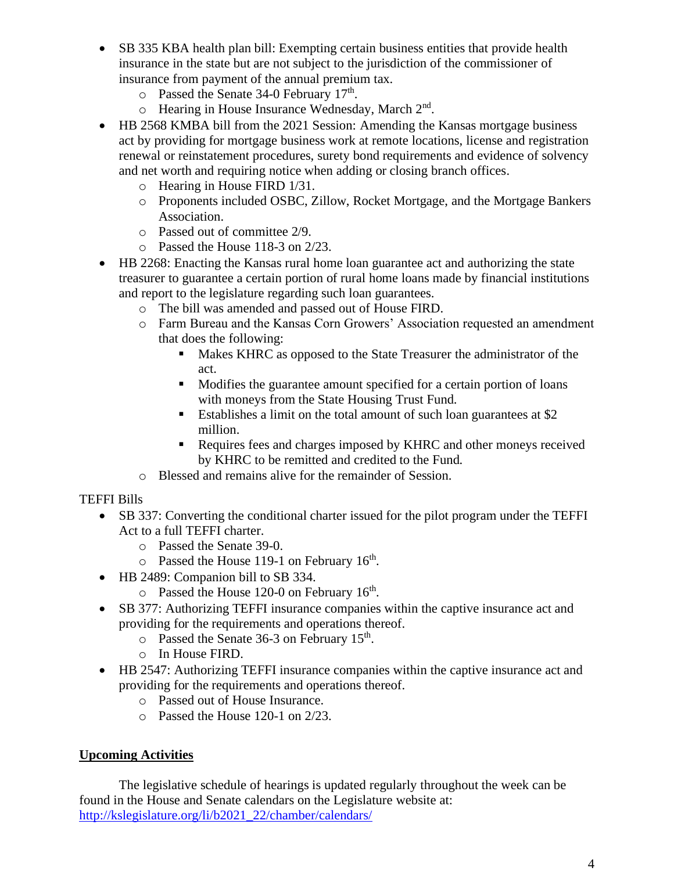- SB 335 KBA health plan bill: Exempting certain business entities that provide health insurance in the state but are not subject to the jurisdiction of the commissioner of insurance from payment of the annual premium tax.
	- o Passed the Senate 34-0 February 17<sup>th</sup>.
	- o Hearing in House Insurance Wednesday, March 2<sup>nd</sup>.
- HB 2568 KMBA bill from the 2021 Session: Amending the Kansas mortgage business act by providing for mortgage business work at remote locations, license and registration renewal or reinstatement procedures, surety bond requirements and evidence of solvency and net worth and requiring notice when adding or closing branch offices.
	- o Hearing in House FIRD 1/31.
	- o Proponents included OSBC, Zillow, Rocket Mortgage, and the Mortgage Bankers Association.
	- o Passed out of committee 2/9.
	- o Passed the House 118-3 on 2/23.
- HB 2268: Enacting the Kansas rural home loan guarantee act and authorizing the state treasurer to guarantee a certain portion of rural home loans made by financial institutions and report to the legislature regarding such loan guarantees.
	- o The bill was amended and passed out of House FIRD.
	- o Farm Bureau and the Kansas Corn Growers' Association requested an amendment that does the following:
		- Makes KHRC as opposed to the State Treasurer the administrator of the act.
		- Modifies the guarantee amount specified for a certain portion of loans with moneys from the State Housing Trust Fund.
		- Establishes a limit on the total amount of such loan guarantees at \$2 million.
		- Requires fees and charges imposed by KHRC and other moneys received by KHRC to be remitted and credited to the Fund.
	- o Blessed and remains alive for the remainder of Session.

#### TEFFI Bills

- SB 337: Converting the conditional charter issued for the pilot program under the TEFFI Act to a full TEFFI charter.
	- o Passed the Senate 39-0.
	- $\circ$  Passed the House 119-1 on February 16<sup>th</sup>.
- HB 2489: Companion bill to SB 334.
	- $\circ$  Passed the House 120-0 on February 16<sup>th</sup>.
- SB 377: Authorizing TEFFI insurance companies within the captive insurance act and providing for the requirements and operations thereof.
	- $\circ$  Passed the Senate 36-3 on February 15<sup>th</sup>.
	- o In House FIRD.
- HB 2547: Authorizing TEFFI insurance companies within the captive insurance act and providing for the requirements and operations thereof.
	- o Passed out of House Insurance.
	- o Passed the House 120-1 on 2/23.

#### **Upcoming Activities**

The legislative schedule of hearings is updated regularly throughout the week can be found in the House and Senate calendars on the Legislature website at: [http://kslegislature.org/li/b2021\\_22/chamber/calendars/](http://kslegislature.org/li/b2021_22/chamber/calendars/)